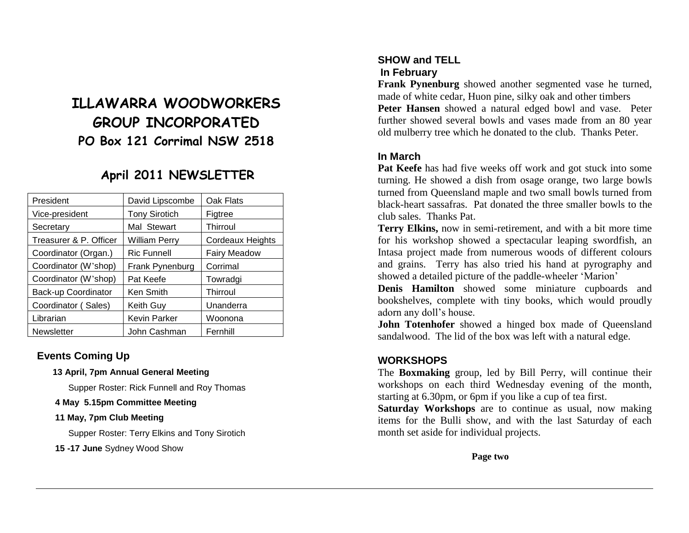# **ILLAWARRA WOODWORKERS GROUP INCORPORATED PO Box 121 Corrimal NSW 2518**

# **April 2011 NEWSLETTER**

| David Lipscombe      | Oak Flats               |
|----------------------|-------------------------|
| <b>Tony Sirotich</b> | Figtree                 |
| Mal Stewart          | Thirroul                |
| <b>William Perry</b> | <b>Cordeaux Heights</b> |
| <b>Ric Funnell</b>   | <b>Fairy Meadow</b>     |
| Frank Pynenburg      | Corrimal                |
| Pat Keefe            | Towradgi                |
| Ken Smith            | Thirroul                |
| Keith Guy            | Unanderra               |
| <b>Kevin Parker</b>  | Woonona                 |
| John Cashman         | Fernhill                |
|                      |                         |

## **Events Coming Up**

#### **13 April, 7pm Annual General Meeting**

Supper Roster: Rick Funnell and Roy Thomas

#### **4 May 5.15pm Committee Meeting**

#### **11 May, 7pm Club Meeting**

Supper Roster: Terry Elkins and Tony Sirotich

**15 -17 June** Sydney Wood Show

# **SHOW and TELL In February**

**Frank Pynenburg** showed another segmented vase he turned, made of white cedar, Huon pine, silky oak and other timbers **Peter Hansen** showed a natural edged bowl and vase. Peter further showed several bowls and vases made from an 80 year old mulberry tree which he donated to the club. Thanks Peter.

# **In March**

**Pat Keefe** has had five weeks off work and got stuck into some turning. He showed a dish from osage orange, two large bowls turned from Queensland maple and two small bowls turned from black-heart sassafras. Pat donated the three smaller bowls to the club sales. Thanks Pat.

**Terry Elkins,** now in semi-retirement, and with a bit more time for his workshop showed a spectacular leaping swordfish, an Intasa project made from numerous woods of different colours and grains. Terry has also tried his hand at pyrography and showed a detailed picture of the paddle-wheeler 'Marion'

**Denis Hamilton** showed some miniature cupboards and bookshelves, complete with tiny books, which would proudly adorn any doll's house.

**John Totenhofer** showed a hinged box made of Queensland sandalwood. The lid of the box was left with a natural edge.

#### **WORKSHOPS**

The **Boxmaking** group, led by Bill Perry, will continue their workshops on each third Wednesday evening of the month, starting at 6.30pm, or 6pm if you like a cup of tea first.

**Saturday Workshops** are to continue as usual, now making items for the Bulli show, and with the last Saturday of each month set aside for individual projects.

**Page two**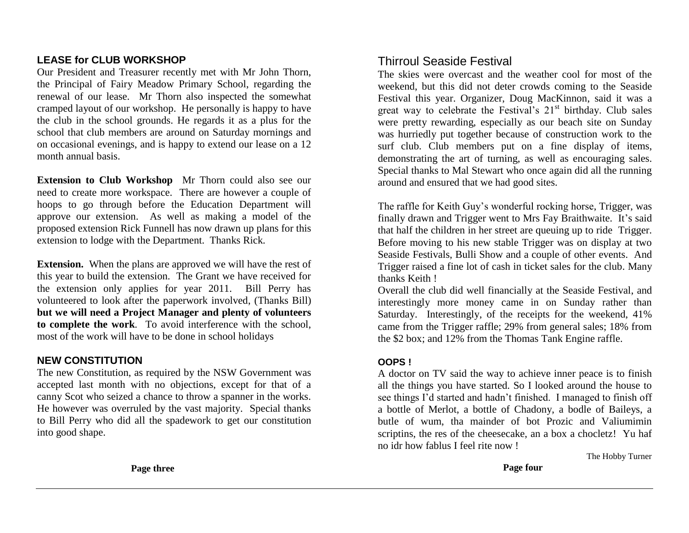## **LEASE for CLUB WORKSHOP**

Our President and Treasurer recently met with Mr John Thorn, the Principal of Fairy Meadow Primary School, regarding the renewal of our lease. Mr Thorn also inspected the somewhat cramped layout of our workshop. He personally is happy to have the club in the school grounds. He regards it as a plus for the school that club members are around on Saturday mornings and on occasional evenings, and is happy to extend our lease on a 12 month annual basis.

**Extension to Club Workshop** Mr Thorn could also see our need to create more workspace. There are however a couple of hoops to go through before the Education Department will approve our extension. As well as making a model of the proposed extension Rick Funnell has now drawn up plans for this extension to lodge with the Department. Thanks Rick.

**Extension.** When the plans are approved we will have the rest of this year to build the extension. The Grant we have received for the extension only applies for year 2011. Bill Perry has volunteered to look after the paperwork involved, (Thanks Bill) **but we will need a Project Manager and plenty of volunteers to complete the work**. To avoid interference with the school, most of the work will have to be done in school holidays

## **NEW CONSTITUTION**

The new Constitution, as required by the NSW Government was accepted last month with no objections, except for that of a canny Scot who seized a chance to throw a spanner in the works. He however was overruled by the vast majority. Special thanks to Bill Perry who did all the spadework to get our constitution into good shape.

Thirroul Seaside Festival

The skies were overcast and the weather cool for most of the weekend, but this did not deter crowds coming to the Seaside Festival this year. Organizer, Doug MacKinnon, said it was a great way to celebrate the Festival's  $21<sup>st</sup>$  birthday. Club sales were pretty rewarding, especially as our beach site on Sunday was hurriedly put together because of construction work to the surf club. Club members put on a fine display of items, demonstrating the art of turning, as well as encouraging sales. Special thanks to Mal Stewart who once again did all the running around and ensured that we had good sites.

The raffle for Keith Guy's wonderful rocking horse, Trigger, was finally drawn and Trigger went to Mrs Fay Braithwaite. It's said that half the children in her street are queuing up to ride Trigger. Before moving to his new stable Trigger was on display at two Seaside Festivals, Bulli Show and a couple of other events. And Trigger raised a fine lot of cash in ticket sales for the club. Many thanks Keith !

Overall the club did well financially at the Seaside Festival, and interestingly more money came in on Sunday rather than Saturday. Interestingly, of the receipts for the weekend, 41% came from the Trigger raffle; 29% from general sales; 18% from the \$2 box; and 12% from the Thomas Tank Engine raffle.

#### **OOPS !**

A doctor on TV said the way to achieve inner peace is to finish all the things you have started. So I looked around the house to see things I'd started and hadn't finished. I managed to finish off a bottle of Merlot, a bottle of Chadony, a bodle of Baileys, a butle of wum, tha mainder of bot Prozic and Valiumimin scriptins, the res of the cheesecake, an a box a chocletz! Yu haf no idr how fablus I feel rite now !

The Hobby Turner

**Page four**

**Page three**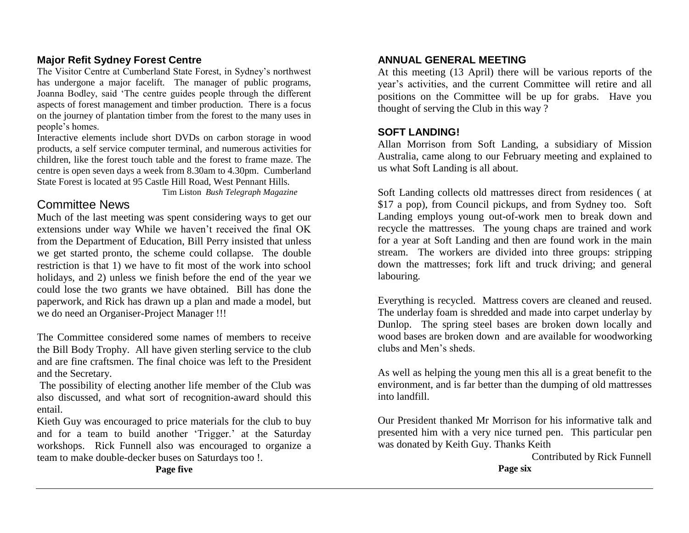## **Major Refit Sydney Forest Centre**

The Visitor Centre at Cumberland State Forest, in Sydney's northwest has undergone a major facelift. The manager of public programs, Joanna Bodley, said 'The centre guides people through the different aspects of forest management and timber production. There is a focus on the journey of plantation timber from the forest to the many uses in people's homes.

Interactive elements include short DVDs on carbon storage in wood products, a self service computer terminal, and numerous activities for children, like the forest touch table and the forest to frame maze. The centre is open seven days a week from 8.30am to 4.30pm. Cumberland State Forest is located at 95 Castle Hill Road, West Pennant Hills.

Tim Liston *Bush Telegraph Magazine*

# Committee News

Much of the last meeting was spent considering ways to get our extensions under way While we haven't received the final OK from the Department of Education, Bill Perry insisted that unless we get started pronto, the scheme could collapse. The double restriction is that 1) we have to fit most of the work into school holidays, and 2) unless we finish before the end of the year we could lose the two grants we have obtained. Bill has done the paperwork, and Rick has drawn up a plan and made a model, but we do need an Organiser-Project Manager !!!

The Committee considered some names of members to receive the Bill Body Trophy. All have given sterling service to the club and are fine craftsmen. The final choice was left to the President and the Secretary.

The possibility of electing another life member of the Club was also discussed, and what sort of recognition-award should this entail.

Kieth Guy was encouraged to price materials for the club to buy and for a team to build another 'Trigger.' at the Saturday workshops. Rick Funnell also was encouraged to organize a team to make double-decker buses on Saturdays too !.

### **ANNUAL GENERAL MEETING**

At this meeting (13 April) there will be various reports of the year's activities, and the current Committee will retire and all positions on the Committee will be up for grabs. Have you thought of serving the Club in this way ?

#### **SOFT LANDING!**

Allan Morrison from Soft Landing, a subsidiary of Mission Australia, came along to our February meeting and explained to us what Soft Landing is all about.

Soft Landing collects old mattresses direct from residences ( at \$17 a pop), from Council pickups, and from Sydney too. Soft Landing employs young out-of-work men to break down and recycle the mattresses. The young chaps are trained and work for a year at Soft Landing and then are found work in the main stream. The workers are divided into three groups: stripping down the mattresses; fork lift and truck driving; and general labouring.

Everything is recycled. Mattress covers are cleaned and reused. The underlay foam is shredded and made into carpet underlay by Dunlop. The spring steel bases are broken down locally and wood bases are broken down and are available for woodworking clubs and Men's sheds.

As well as helping the young men this all is a great benefit to the environment, and is far better than the dumping of old mattresses into landfill.

Our President thanked Mr Morrison for his informative talk and presented him with a very nice turned pen. This particular pen was donated by Keith Guy. Thanks Keith

 Contributed by Rick Funnell **Page six**